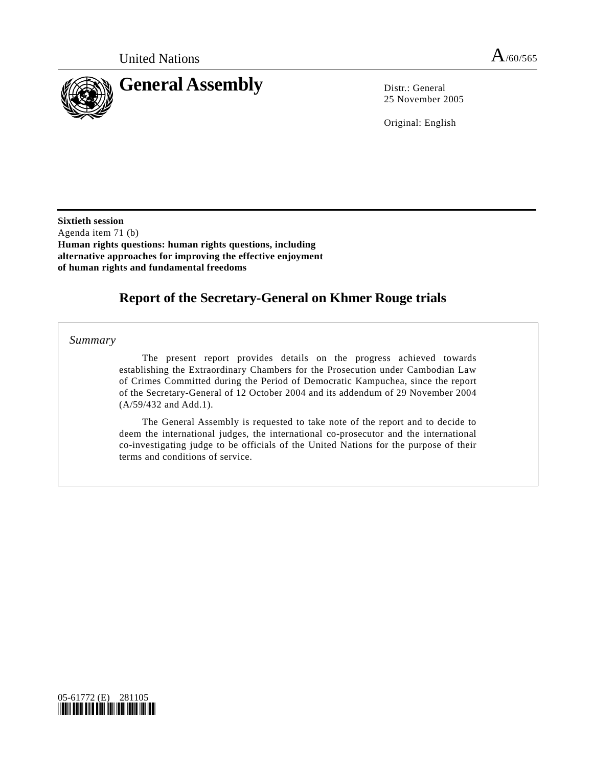

25 November 2005

Original: English

**Sixtieth session**  Agenda item 71 (b) **Human rights questions: human rights questions, including alternative approaches for improving the effective enjoyment of human rights and fundamental freedoms** 

# **Report of the Secretary-General on Khmer Rouge trials**

 *Summary* 

 The present report provides details on the progress achieved towards establishing the Extraordinary Chambers for the Prosecution under Cambodian Law of Crimes Committed during the Period of Democratic Kampuchea, since the report of the Secretary-General of 12 October 2004 and its addendum of 29 November 2004 (A/59/432 and Add.1).

 The General Assembly is requested to take note of the report and to decide to deem the international judges, the international co-prosecutor and the international co-investigating judge to be officials of the United Nations for the purpose of their terms and conditions of service.

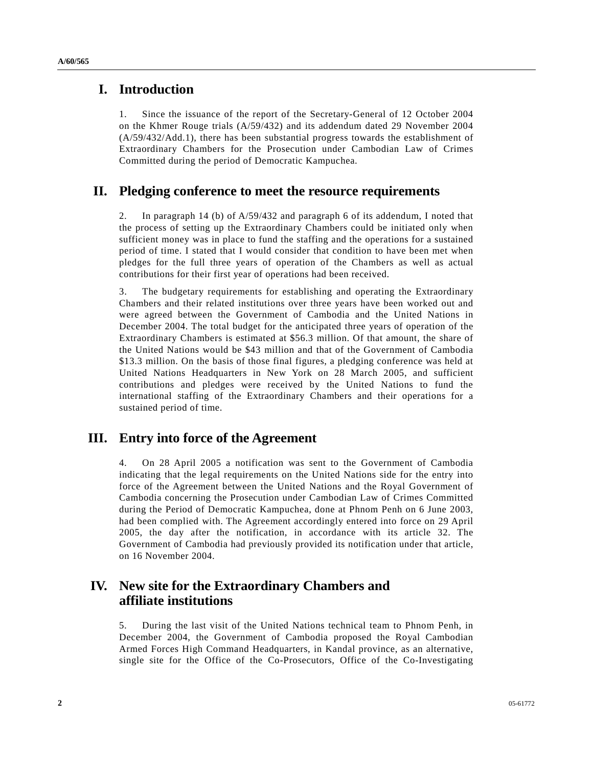#### **I. Introduction**

1. Since the issuance of the report of the Secretary-General of 12 October 2004 on the Khmer Rouge trials (A/59/432) and its addendum dated 29 November 2004 (A/59/432/Add.1), there has been substantial progress towards the establishment of Extraordinary Chambers for the Prosecution under Cambodian Law of Crimes Committed during the period of Democratic Kampuchea.

# **II. Pledging conference to meet the resource requirements**

2. In paragraph 14 (b) of A/59/432 and paragraph 6 of its addendum, I noted that the process of setting up the Extraordinary Chambers could be initiated only when sufficient money was in place to fund the staffing and the operations for a sustained period of time. I stated that I would consider that condition to have been met when pledges for the full three years of operation of the Chambers as well as actual contributions for their first year of operations had been received.

3. The budgetary requirements for establishing and operating the Extraordinary Chambers and their related institutions over three years have been worked out and were agreed between the Government of Cambodia and the United Nations in December 2004. The total budget for the anticipated three years of operation of the Extraordinary Chambers is estimated at \$56.3 million. Of that amount, the share of the United Nations would be \$43 million and that of the Government of Cambodia \$13.3 million. On the basis of those final figures, a pledging conference was held at United Nations Headquarters in New York on 28 March 2005, and sufficient contributions and pledges were received by the United Nations to fund the international staffing of the Extraordinary Chambers and their operations for a sustained period of time.

#### **III. Entry into force of the Agreement**

4. On 28 April 2005 a notification was sent to the Government of Cambodia indicating that the legal requirements on the United Nations side for the entry into force of the Agreement between the United Nations and the Royal Government of Cambodia concerning the Prosecution under Cambodian Law of Crimes Committed during the Period of Democratic Kampuchea, done at Phnom Penh on 6 June 2003, had been complied with. The Agreement accordingly entered into force on 29 April 2005, the day after the notification, in accordance with its article 32. The Government of Cambodia had previously provided its notification under that article, on 16 November 2004.

### **IV. New site for the Extraordinary Chambers and affiliate institutions**

5. During the last visit of the United Nations technical team to Phnom Penh, in December 2004, the Government of Cambodia proposed the Royal Cambodian Armed Forces High Command Headquarters, in Kandal province, as an alternative, single site for the Office of the Co-Prosecutors, Office of the Co-Investigating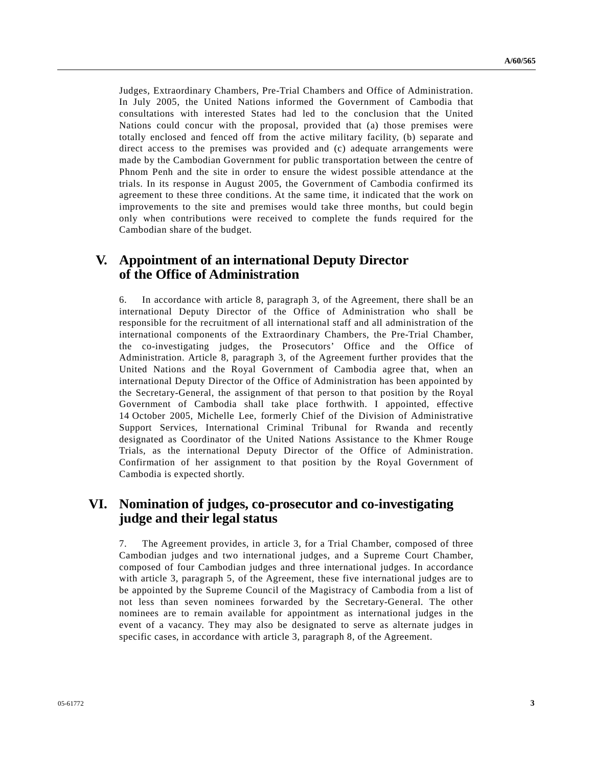Judges, Extraordinary Chambers, Pre-Trial Chambers and Office of Administration. In July 2005, the United Nations informed the Government of Cambodia that consultations with interested States had led to the conclusion that the United Nations could concur with the proposal, provided that (a) those premises were totally enclosed and fenced off from the active military facility, (b) separate and direct access to the premises was provided and (c) adequate arrangements were made by the Cambodian Government for public transportation between the centre of Phnom Penh and the site in order to ensure the widest possible attendance at the trials. In its response in August 2005, the Government of Cambodia confirmed its agreement to these three conditions. At the same time, it indicated that the work on improvements to the site and premises would take three months, but could begin only when contributions were received to complete the funds required for the Cambodian share of the budget.

# **V. Appointment of an international Deputy Director of the Office of Administration**

6. In accordance with article 8, paragraph 3, of the Agreement, there shall be an international Deputy Director of the Office of Administration who shall be responsible for the recruitment of all international staff and all administration of the international components of the Extraordinary Chambers, the Pre-Trial Chamber, the co-investigating judges, the Prosecutors' Office and the Office of Administration. Article 8, paragraph 3, of the Agreement further provides that the United Nations and the Royal Government of Cambodia agree that, when an international Deputy Director of the Office of Administration has been appointed by the Secretary-General, the assignment of that person to that position by the Royal Government of Cambodia shall take place forthwith. I appointed, effective 14 October 2005, Michelle Lee, formerly Chief of the Division of Administrative Support Services, International Criminal Tribunal for Rwanda and recently designated as Coordinator of the United Nations Assistance to the Khmer Rouge Trials, as the international Deputy Director of the Office of Administration. Confirmation of her assignment to that position by the Royal Government of Cambodia is expected shortly.

### **VI. Nomination of judges, co-prosecutor and co-investigating judge and their legal status**

7. The Agreement provides, in article 3, for a Trial Chamber, composed of three Cambodian judges and two international judges, and a Supreme Court Chamber, composed of four Cambodian judges and three international judges. In accordance with article 3, paragraph 5, of the Agreement, these five international judges are to be appointed by the Supreme Council of the Magistracy of Cambodia from a list of not less than seven nominees forwarded by the Secretary-General. The other nominees are to remain available for appointment as international judges in the event of a vacancy. They may also be designated to serve as alternate judges in specific cases, in accordance with article 3, paragraph 8, of the Agreement.